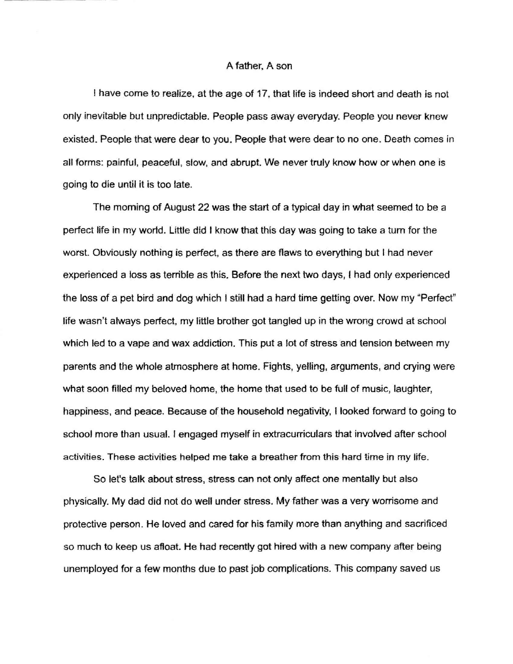## A father, A son

<sup>I</sup>have come to realize, at the age of 17, that life is indeed short and death is rot only inevitable but unpredictable. People pass away everyday- People you never knew existed. People that were dear to you. People that were dear to no one. Death comes in all forms: painful, peaceful, slow, and abrupt. We never truly know how or when one is going to die until it is too late.

The morning of August 22 was the start of a typical day in what seemed to be a perfect life in my world. Little did I know that this day was going to take a turn for the worst. Obviously nothing is perfect, as there are flaws to everything but I had never experienced a loss as terrible as this, Before the next two days, I had only experienced the loss of a pet bird and dog which I still had a hard time getting over. Now my "Perfect" life wasn't always perfect, my little brother got tangled up in the wrong crowd at school which led to a vape and wax addiction. This put a lot of stress and tension between my parents and the whole atmosphere at home. Fights, yelling, arguments, and crying were what soon filled my beloved home, the home that used to be full of music, laughter. happiness, and peace. Eecause of the household negativity, Ilooked forward to going to school more than usual. I engaged myself in extracurriculars that involved after school activities. These activities helped me take a breather from this hard time in my life.

So let's talk about stress, stress can not only affect one mentally but also physically. My dad did not do well under stress. My father was a very worrisome and protective person. He loved and cared for his family more than anything and sacrificed so much to keep us afloat. He had recently got hired with a new company after being unemployed for a few months due to past iob complications. This company saved us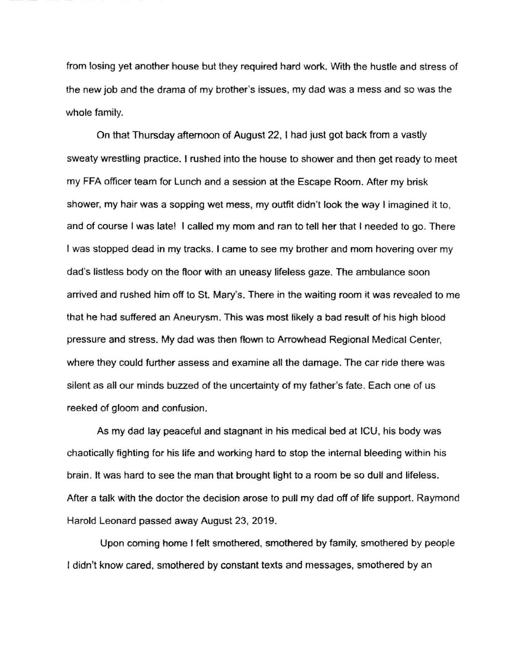from losing yet another house but they required hard work. With the hustle and stress of the new job and the drama of my brother's issues, my dad was a mess and so was the whole family.

On that Thursday aftemoon of August 22, t had just got back from a vastly sweaty wrestling practice. I rushed into the house to shower and then get ready to meet my FFA officer team for Lunch and a session at the Escape Room. After my brisk shower, my hair was a sopping wet mess, my outfit didn't look the way I imagined it to, and of course I was late! I called my mom and ran to tell her that I needed to go. There I was stopped dead in my tracks. I came to see my brother and mom hovering over my dad's listless body on the fioor with an uneasy lifeless gaze. The ambulance soon arrived and rushed him off to St. Mary's. There in the waiting room it was revealed to me that he had suffered an Aneurysm. This was most likely a bad result of his high blood pressure and stress. My dad was then flown to Arrowhead Regional Medical Center, where they could further assess and examine all the damage. The car ride there was silent as all our minds buzzed of the uncertainty of my father's fate. Each one of us reeked of gloom and confusion.

As my dad lay peaceful and slagnant in his medical bed at lCU, his body was chaotically fighting for his life and working hard to stop the intemal bleeding within his brain. lt was hard to see the man that brought light to a room be so dull and lifeless. After a talk with the doctor the decision arose to pull my dad off of life support. Raymond Harold Leonard passed away August 23,2019.

Upon coming home I felt smothered, smothered by family, smothered by people I didn't know cared, smothered by constant texts and messages, smothered by an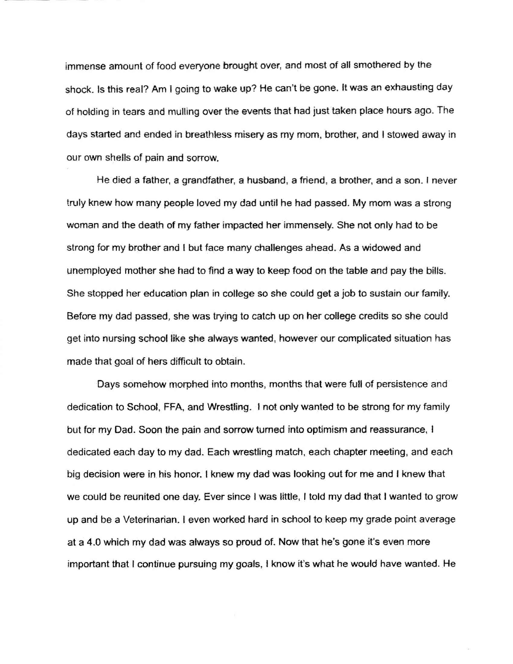immense amount of food everyone brought over, and most of all smothered by the shock. Is this real? Am I going to wake up? He can't be gone. It was an exhausting day of holding in tears and mulling over the events that had just taken place hours ago. The days started and ended in breathless misery as my mom, brother, and I stowed away in our own shells of pain and sorrow.

He died a father, a grandfather, a husband, a friend, a brother, and a son. I never truly knew how many people loved my dad until he had passed. My mom was a strong woman and the death of my father impacted her immensely- She not only had to be strong for my brother and I but face many challenges ahead. As a widowed and unemployed mother she had to find a way to keep food on the table and pay the bills. She stopped her education plan in college so she could get a job to sustain our family. Before my dad passed, she was trying to catch up on her college crediis so she could get into nursing school like she always wanted, however our complicated situation has made that goal of hers difficult to obtain.

Days somehow morphed into months, months that were full of persistence and dedication to School, FFA, and Wrestling. I not only wanted to be strong for my family but for my Dad. Soon the pain and sorrow turned into optimism and reassurance, I dedicated each day to my dad. Each wrestling match, each chapter meeting, and each big decision were in his honor. I knew my dad was looking out for me and I knew that we could be reunited one day. Ever since I was little, I told my dad that I wanted to grow up and be a Veterinarian, leven worked hard in school to keep my grade point average at a 4.0 which my dad was always so proud of. Now that he's gone it's even more important that I continue pursuing my goals, I know it's what he would have wanted. He